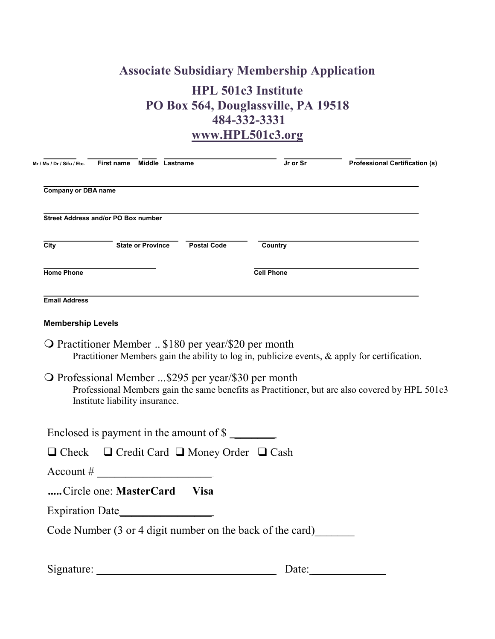## **Associate Subsidiary Membership Application HPL 501c3 Institute PO Box 564, Douglassville, PA 19518 484-332-3331 www.HPL501c3.org**

| Mr / Ms / Dr / Sifu / Etc.                 | First name Middle Lastname                                                                         |             | Jr or Sr                                                  | <b>Professional Certification (s)</b>                                                          |
|--------------------------------------------|----------------------------------------------------------------------------------------------------|-------------|-----------------------------------------------------------|------------------------------------------------------------------------------------------------|
| <b>Company or DBA name</b>                 |                                                                                                    |             |                                                           |                                                                                                |
| <b>Street Address and/or PO Box number</b> |                                                                                                    |             |                                                           |                                                                                                |
| City                                       | State or Province Postal Code                                                                      |             | Country                                                   |                                                                                                |
| <b>Home Phone</b>                          |                                                                                                    |             | <b>Cell Phone</b>                                         |                                                                                                |
| <b>Email Address</b>                       |                                                                                                    |             |                                                           |                                                                                                |
| <b>Membership Levels</b>                   |                                                                                                    |             |                                                           |                                                                                                |
|                                            | O Practitioner Member  \$180 per year/\$20 per month                                               |             |                                                           | Practitioner Members gain the ability to log in, publicize events, & apply for certification.  |
|                                            | $\overline{O}$ Professional Member \$295 per year/\$30 per month<br>Institute liability insurance. |             |                                                           | Professional Members gain the same benefits as Practitioner, but are also covered by HPL 501c3 |
|                                            | Enclosed is payment in the amount of \$                                                            |             |                                                           |                                                                                                |
|                                            | $\Box$ Check $\Box$ Credit Card $\Box$ Money Order $\Box$ Cash                                     |             |                                                           |                                                                                                |
|                                            | $\text{Account} \#$                                                                                |             |                                                           |                                                                                                |
|                                            | Circle one: MasterCard                                                                             | <b>Visa</b> |                                                           |                                                                                                |
|                                            |                                                                                                    |             |                                                           |                                                                                                |
|                                            |                                                                                                    |             | Code Number (3 or 4 digit number on the back of the card) |                                                                                                |

| Signature: | ' Jale |
|------------|--------|
|            |        |